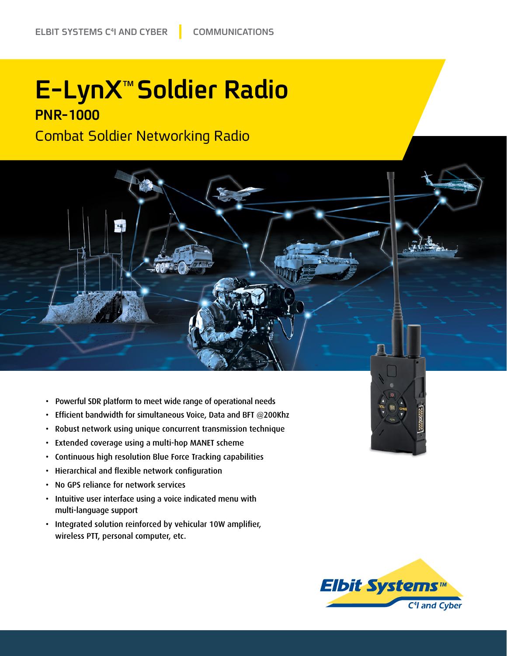## **E-LynX<sup>™</sup> Soldier Radio PNR-1000**

**Combat Soldier Networking Radio** 



- Powerful SDR platform to meet wide range of operational needs
- Efficient bandwidth for simultaneous Voice, Data and BFT  $@200$ Khz
- Robust network using unique concurrent transmission technique
- Extended coverage using a multi-hop MANET scheme
- Continuous high resolution Blue Force Tracking capabilities
- Hierarchical and flexible network configuration
- No GPS reliance for network services
- Intuitive user interface using a voice indicated menu with multi-language support
- Integrated solution reinforced by vehicular 10W amplifier, wireless PTT, personal computer, etc.